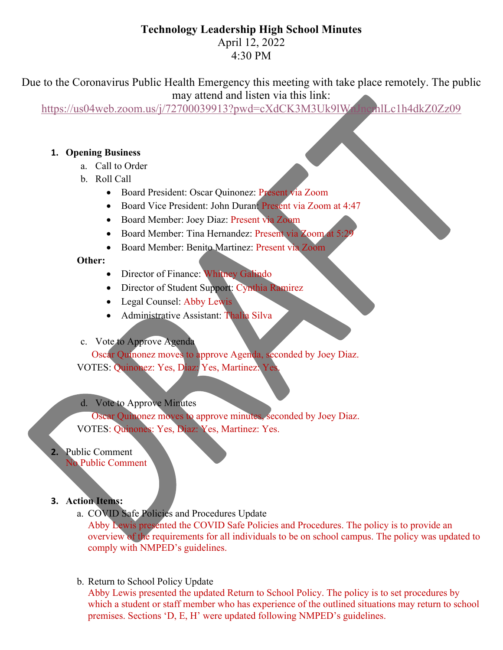# **Technology Leadership High School Minutes**

April 12, 2022 4:30 PM

Due to the Coronavirus Public Health Emergency this meeting with take place remotely. The public may attend and listen via this link:

https://us04web.zoom.us/j/72700039913?pwd=cXdCK3M3Uk9lWnJncmlLc1h4dkZ0Zz09

## **1. Opening Business**

- a. Call to Order
- b. Roll Call
	- Board President: Oscar Quinonez: Present via Zoom
	- Board Vice President: John Duran: Present via Zoom at 4:47
	- Board Member: Joey Diaz: Present via Zoom
	- Board Member: Tina Hernandez: Present via Zoom at 5:
	- Board Member: Benito Martinez: Present via Zoom

### **Other:**

- Director of Finance: Whitney Galindo
- Director of Student Support: Cynthia Ramirez
- Legal Counsel: Abby Lewis
- Administrative Assistant: Thalia Silva
- c. Vote to Approve Agenda

Oscar Quinonez moves to approve Agenda, seconded by Joey Diaz. VOTES: Quinonez: Yes, Diaz: Yes, Martinez: Yes.

d. Vote to Approve Minutes

Oscar Quinonez moves to approve minutes, seconded by Joey Diaz. VOTES: Quinones: Yes, Diaz: Yes, Martinez: Yes.

**2.** Public Comment No Public Comment

#### **3. Action Items:**

a. COVID Safe Policies and Procedures Update

Abby Lewis presented the COVID Safe Policies and Procedures. The policy is to provide an overview of the requirements for all individuals to be on school campus. The policy was updated to comply with NMPED's guidelines.

b. Return to School Policy Update

Abby Lewis presented the updated Return to School Policy. The policy is to set procedures by which a student or staff member who has experience of the outlined situations may return to school premises. Sections 'D, E, H' were updated following NMPED's guidelines.